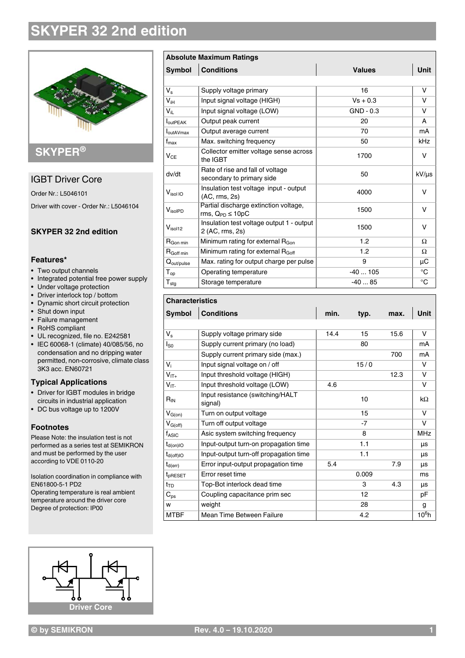# **SKYPER 32 2nd edition**



# **SKYPER®**

## IGBT Driver Core

Order Nr.: L5046101 Driver with cover - Order Nr.: L5046104

### **SKYPER 32 2nd edition**

#### **Features\***

- Two output channels
- Integrated potential free power supply
- Under voltage protection
- Driver interlock top / bottom
- Dynamic short circuit protection
- Shut down input
- Failure management
- RoHS compliant
- UL recognized, file no. E242581
- IEC 60068-1 (climate) 40/085/56, no condensation and no dripping water permitted, non-corrosive, climate class 3K3 acc. EN60721

#### **Typical Applications**

- Driver for IGBT modules in bridge circuits in industrial application
- DC bus voltage up to 1200V

#### **Footnotes**

Please Note: the insulation test is not performed as a series test at SEMIKRON and must be performed by the user according to VDE 0110-20

Isolation coordination in compliance with EN61800-5-1 PD2 Operating temperature is real ambient temperature around the driver core Degree of protection: IP00



| <b>Absolute Maximum Ratings</b> |                                                                  |               |              |
|---------------------------------|------------------------------------------------------------------|---------------|--------------|
| Symbol                          | <b>Conditions</b>                                                | <b>Values</b> | <b>Unit</b>  |
|                                 |                                                                  |               |              |
| $V_{\rm s}$                     | Supply voltage primary                                           | 16            | v            |
| $V_{iH}$                        | Input signal voltage (HIGH)                                      | $Vs + 0.3$    | v            |
| $V_{iL}$                        | Input signal voltage (LOW)                                       | $GND - 0.3$   | v            |
| <b>I</b> <sub>outPEAK</sub>     | Output peak current                                              | 20            | A            |
| <b>I</b> outAVmax               | Output average current                                           | 70            | mA           |
| $f_{\text{max}}$                | Max. switching frequency                                         | 50            | kHz          |
| $V_{CE}$                        | Collector emitter voltage sense across<br>the IGBT               | 1700          | v            |
| dv/dt                           | Rate of rise and fall of voltage<br>secondary to primary side    | 50            | $kV/\mu s$   |
| $V_{\text{isol}}$ IO            | Insulation test voltage input - output<br>(AC, rms, 2s)          | 4000          | v            |
| VisolPD                         | Partial discharge extinction voltage,<br>rms, $Q_{PD} \leq 10pC$ | 1500          | v            |
| $V_{isol12}$                    | Insulation test voltage output 1 - output<br>2 (AC, rms, 2s)     | 1500          | v            |
| R <sub>Gon min</sub>            | Minimum rating for external $R_{Gon}$                            | 1.2           | Ω            |
| R <sub>Goff min</sub>           | Minimum rating for external R <sub>Goff</sub>                    | 1.2           | Ω            |
| $Q_{\text{out/pulse}}$          | Max. rating for output charge per pulse                          | 9             | μC           |
| $T_{op}$                        | Operating temperature                                            | $-40105$      | $^{\circ}$ C |
| $T_{\text{stg}}$                | Storage temperature                                              | $-4085$       | °C           |

### **Characteristics Symbol Conditions min. typ. max. Unit**  $V_s$  Supply voltage primary side  $\begin{array}{|c|c|c|c|c|c|c|c|c|} \hline \end{array}$  14.4 15 15.6 V  $I_{\rm SO}$  Supply current primary (no load)  $\vert$  80 mA Supply current primary side (max.) <br>
700 mA  $V_i$  Input signal voltage on / off 15 / 0 V  $V_{IT_{+}}$  Input threshold voltage (HIGH)  $12.3$  V  $V_{\text{IT}}$  Input threshold voltage (LOW) 4.6 V  $R_{IN}$ Input resistance (switching/HALT signal)  $k\Omega$ <br>signal)  $k\Omega$  $V_{G(on)}$  Turn on output voltage 15 V  $V_{G(off)}$  Turn off output voltage  $V_{G(off)}$  -7 V f<sub>ASIC</sub> Asic system switching frequency and the state of  $\vert$  MHz  $t_{d(on)IO}$  | Input-output turn-on propagation time 1.1  $\qquad$  |  $\qquad$   $\qquad$  |  $\qquad$  $t_{d(off)IO}$  | Input-output turn-off propagation time | 1.1 |  $\mu s$  $t_{d(err)}$  Error input-output propagation time 5.4 7.9  $\mu s$  $t_{\text{pRESET}}$  Error reset time 0.009 ms tTD Top-Bot interlock dead time 3 4.3 µs  $\overline{C_{ps}}$  Coupling capacitance prim sec 12 12 pF w weight 28 g MTBF Mean Time Between Failure 4.2 4.2